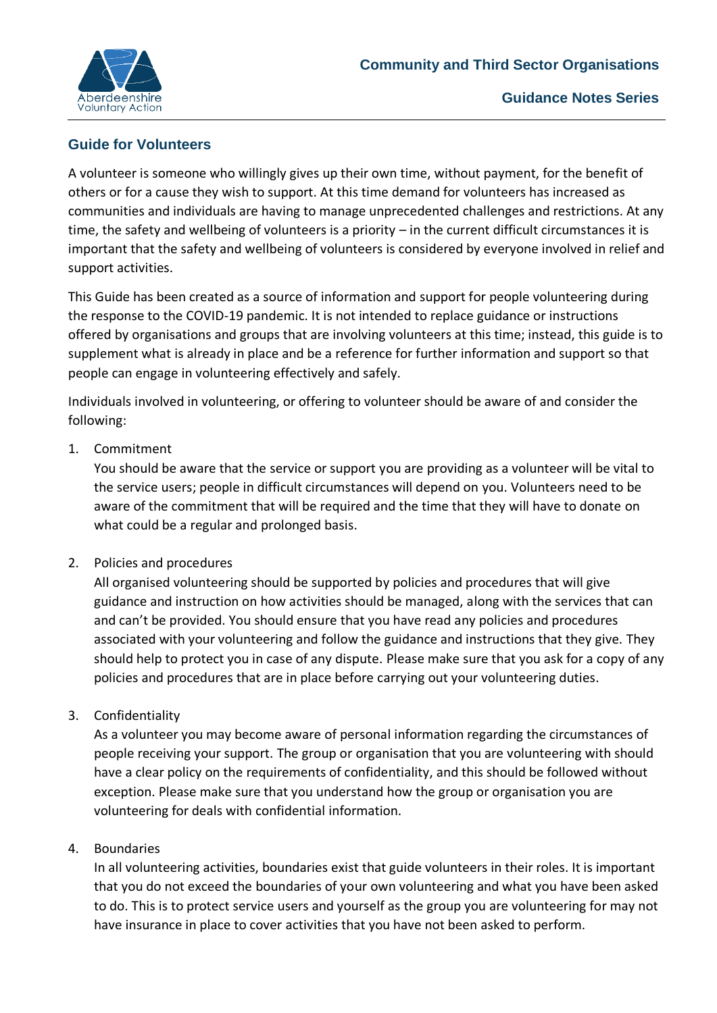

# **Guide for Volunteers**

A volunteer is someone who willingly gives up their own time, without payment, for the benefit of others or for a cause they wish to support. At this time demand for volunteers has increased as communities and individuals are having to manage unprecedented challenges and restrictions. At any time, the safety and wellbeing of volunteers is a priority – in the current difficult circumstances it is important that the safety and wellbeing of volunteers is considered by everyone involved in relief and support activities.

This Guide has been created as a source of information and support for people volunteering during the response to the COVID-19 pandemic. It is not intended to replace guidance or instructions offered by organisations and groups that are involving volunteers at this time; instead, this guide is to supplement what is already in place and be a reference for further information and support so that people can engage in volunteering effectively and safely.

Individuals involved in volunteering, or offering to volunteer should be aware of and consider the following:

## 1. Commitment

You should be aware that the service or support you are providing as a volunteer will be vital to the service users; people in difficult circumstances will depend on you. Volunteers need to be aware of the commitment that will be required and the time that they will have to donate on what could be a regular and prolonged basis.

## 2. Policies and procedures

All organised volunteering should be supported by policies and procedures that will give guidance and instruction on how activities should be managed, along with the services that can and can't be provided. You should ensure that you have read any policies and procedures associated with your volunteering and follow the guidance and instructions that they give. They should help to protect you in case of any dispute. Please make sure that you ask for a copy of any policies and procedures that are in place before carrying out your volunteering duties.

## 3. Confidentiality

As a volunteer you may become aware of personal information regarding the circumstances of people receiving your support. The group or organisation that you are volunteering with should have a clear policy on the requirements of confidentiality, and this should be followed without exception. Please make sure that you understand how the group or organisation you are volunteering for deals with confidential information.

### 4. Boundaries

In all volunteering activities, boundaries exist that guide volunteers in their roles. It is important that you do not exceed the boundaries of your own volunteering and what you have been asked to do. This is to protect service users and yourself as the group you are volunteering for may not have insurance in place to cover activities that you have not been asked to perform.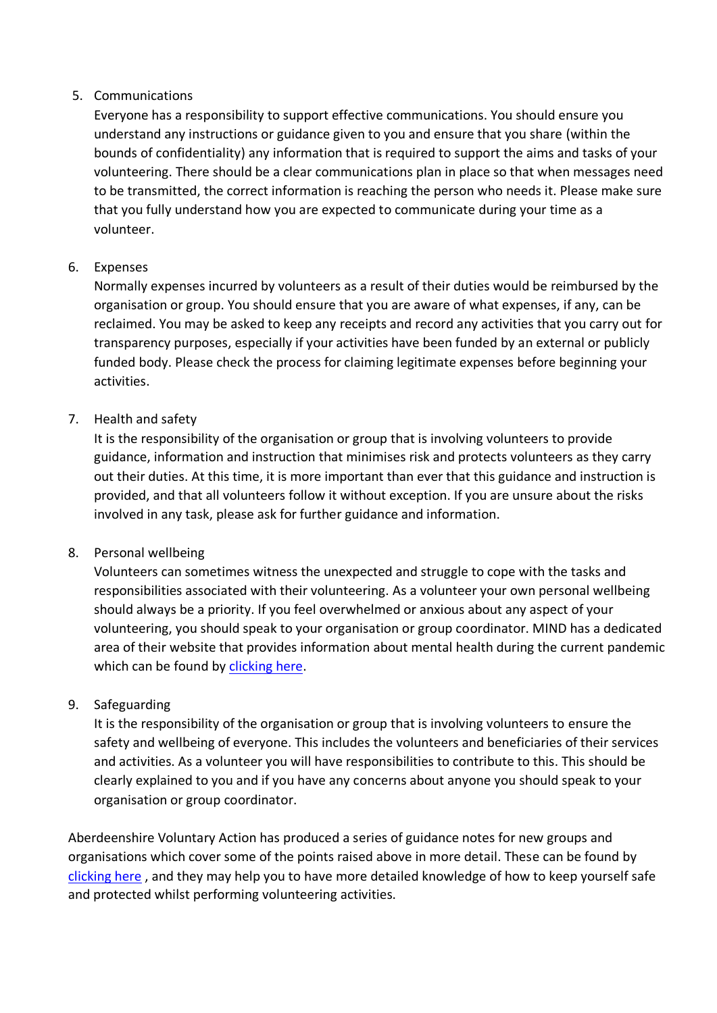### 5. Communications

Everyone has a responsibility to support effective communications. You should ensure you understand any instructions or guidance given to you and ensure that you share (within the bounds of confidentiality) any information that is required to support the aims and tasks of your volunteering. There should be a clear communications plan in place so that when messages need to be transmitted, the correct information is reaching the person who needs it. Please make sure that you fully understand how you are expected to communicate during your time as a volunteer.

## 6. Expenses

Normally expenses incurred by volunteers as a result of their duties would be reimbursed by the organisation or group. You should ensure that you are aware of what expenses, if any, can be reclaimed. You may be asked to keep any receipts and record any activities that you carry out for transparency purposes, especially if your activities have been funded by an external or publicly funded body. Please check the process for claiming legitimate expenses before beginning your activities.

## 7. Health and safety

It is the responsibility of the organisation or group that is involving volunteers to provide guidance, information and instruction that minimises risk and protects volunteers as they carry out their duties. At this time, it is more important than ever that this guidance and instruction is provided, and that all volunteers follow it without exception. If you are unsure about the risks involved in any task, please ask for further guidance and information.

### 8. Personal wellbeing

Volunteers can sometimes witness the unexpected and struggle to cope with the tasks and responsibilities associated with their volunteering. As a volunteer your own personal wellbeing should always be a priority. If you feel overwhelmed or anxious about any aspect of your volunteering, you should speak to your organisation or group coordinator. MIND has a dedicated area of their website that provides information about mental health during the current pandemic which can be found by [clicking here.](https://www.mind.org.uk/information-support/coronavirus/)

### 9. Safeguarding

It is the responsibility of the organisation or group that is involving volunteers to ensure the safety and wellbeing of everyone. This includes the volunteers and beneficiaries of their services and activities. As a volunteer you will have responsibilities to contribute to this. This should be clearly explained to you and if you have any concerns about anyone you should speak to your organisation or group coordinator.

Aberdeenshire Voluntary Action has produced a series of guidance notes for new groups and organisations which cover some of the points raised above in more detail. These can be found by [clicking here](https://www.avashire.org.uk/new-groups.html) , and they may help you to have more detailed knowledge of how to keep yourself safe and protected whilst performing volunteering activities.